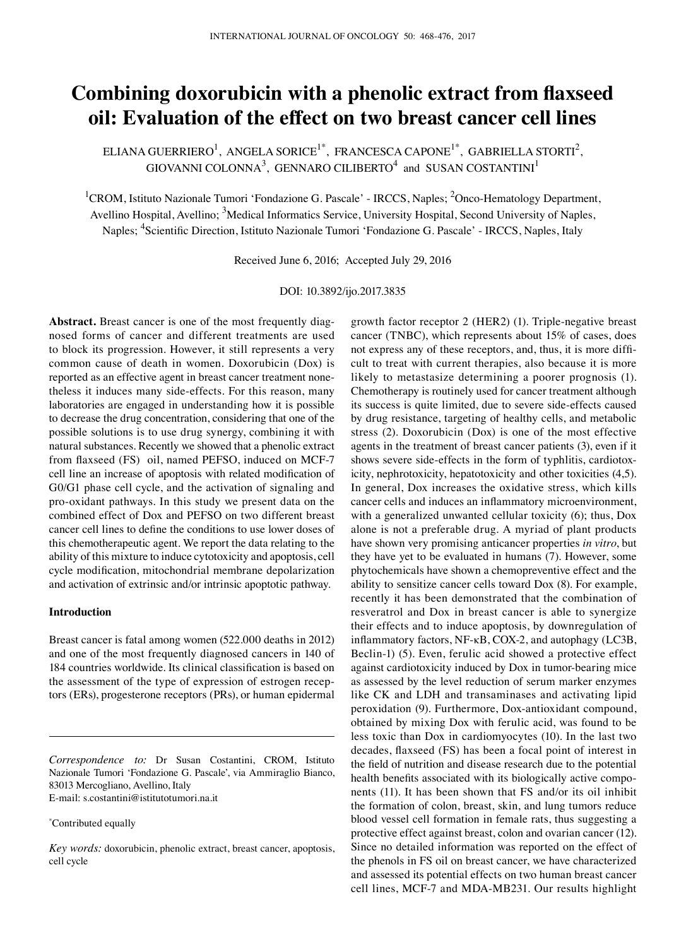# **Combining doxorubicin with a phenolic extract from flaxseed oil: Evaluation of the effect on two breast cancer cell lines**

ELIANA GUERRIERO<sup>1</sup>, ANGELA SORICE<sup>1\*</sup>, FRANCESCA CAPONE<sup>1\*</sup>, GABRIELLA STORTI<sup>2</sup>, GIOVANNI COLONNA $^3$ , GENNARO CILIBERTO $^4$  and SUSAN COSTANTINI<sup>1</sup>

<sup>1</sup>CROM, Istituto Nazionale Tumori 'Fondazione G. Pascale' - IRCCS, Naples; <sup>2</sup>Onco-Hematology Department, Avellino Hospital, Avellino; <sup>3</sup>Medical Informatics Service, University Hospital, Second University of Naples, Naples; <sup>4</sup>Scientific Direction, Istituto Nazionale Tumori 'Fondazione G. Pascale' - IRCCS, Naples, Italy

Received June 6, 2016; Accepted July 29, 2016

DOI: 10.3892/ijo.2017.3835

**Abstract.** Breast cancer is one of the most frequently diagnosed forms of cancer and different treatments are used to block its progression. However, it still represents a very common cause of death in women. Doxorubicin (Dox) is reported as an effective agent in breast cancer treatment nonetheless it induces many side-effects. For this reason, many laboratories are engaged in understanding how it is possible to decrease the drug concentration, considering that one of the possible solutions is to use drug synergy, combining it with natural substances. Recently we showed that a phenolic extract from flaxseed (FS) oil, named PEFSO, induced on MCF-7 cell line an increase of apoptosis with related modification of G0/G1 phase cell cycle, and the activation of signaling and pro-oxidant pathways. In this study we present data on the combined effect of Dox and PEFSO on two different breast cancer cell lines to define the conditions to use lower doses of this chemotherapeutic agent. We report the data relating to the ability of this mixture to induce cytotoxicity and apoptosis, cell cycle modification, mitochondrial membrane depolarization and activation of extrinsic and/or intrinsic apoptotic pathway.

## **Introduction**

Breast cancer is fatal among women (522.000 deaths in 2012) and one of the most frequently diagnosed cancers in 140 of 184 countries worldwide. Its clinical classification is based on the assessment of the type of expression of estrogen receptors (ERs), progesterone receptors (PRs), or human epidermal

*Correspondence to:* Dr Susan Costantini, CROM, Istituto Nazionale Tumori ʻFondazione G. Pascale', via Ammiraglio Bianco, 83013 Mercogliano, Avellino, Italy E-mail: s.costantini@istitutotumori.na.it

\* Contributed equally

*Key words:* doxorubicin, phenolic extract, breast cancer, apoptosis, cell cycle

growth factor receptor 2 (HER2) (1). Triple-negative breast cancer (TNBC), which represents about 15% of cases, does not express any of these receptors, and, thus, it is more difficult to treat with current therapies, also because it is more likely to metastasize determining a poorer prognosis (1). Chemotherapy is routinely used for cancer treatment although its success is quite limited, due to severe side-effects caused by drug resistance, targeting of healthy cells, and metabolic stress (2). Doxorubicin (Dox) is one of the most effective agents in the treatment of breast cancer patients (3), even if it shows severe side-effects in the form of typhlitis, cardiotoxicity, nephrotoxicity, hepatotoxicity and other toxicities (4,5). In general, Dox increases the oxidative stress, which kills cancer cells and induces an inflammatory microenvironment, with a generalized unwanted cellular toxicity (6); thus, Dox alone is not a preferable drug. A myriad of plant products have shown very promising anticancer properties *in vitro*, but they have yet to be evaluated in humans (7). However, some phytochemicals have shown a chemopreventive effect and the ability to sensitize cancer cells toward Dox (8). For example, recently it has been demonstrated that the combination of resveratrol and Dox in breast cancer is able to synergize their effects and to induce apoptosis, by downregulation of inflammatory factors, NF‑κB, COX-2, and autophagy (LC3B, Beclin-1) (5). Even, ferulic acid showed a protective effect against cardiotoxicity induced by Dox in tumor-bearing mice as assessed by the level reduction of serum marker enzymes like CK and LDH and transaminases and activating lipid peroxidation (9). Furthermore, Dox-antioxidant compound, obtained by mixing Dox with ferulic acid, was found to be less toxic than Dox in cardiomyocytes (10). In the last two decades, flaxseed (FS) has been a focal point of interest in the field of nutrition and disease research due to the potential health benefits associated with its biologically active components (11). It has been shown that FS and/or its oil inhibit the formation of colon, breast, skin, and lung tumors reduce blood vessel cell formation in female rats, thus suggesting a protective effect against breast, colon and ovarian cancer (12). Since no detailed information was reported on the effect of the phenols in FS oil on breast cancer, we have characterized and assessed its potential effects on two human breast cancer cell lines, MCF‑7 and MDA‑MB231. Our results highlight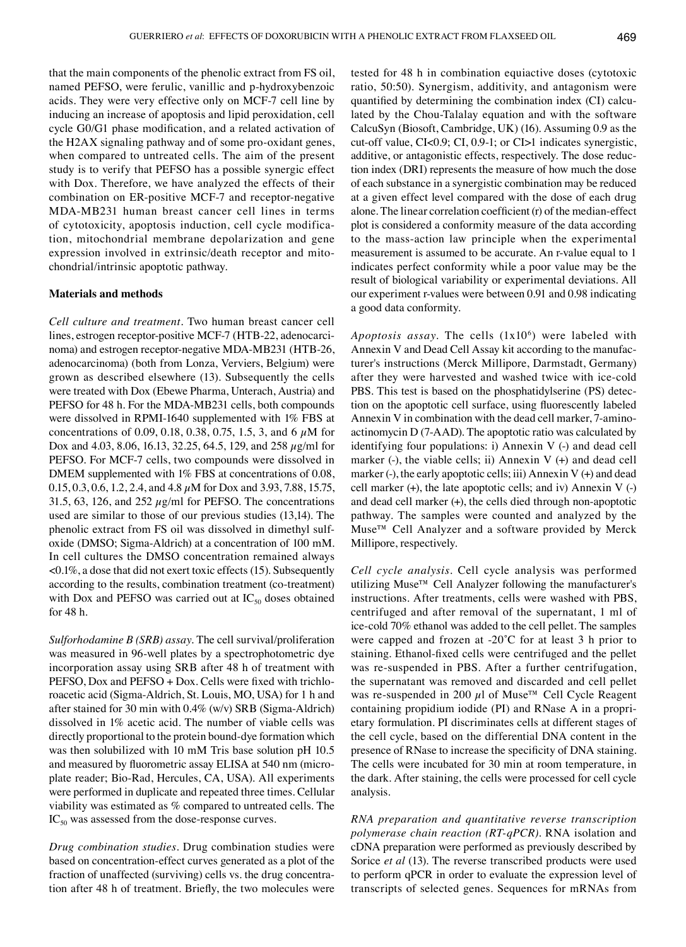that the main components of the phenolic extract from FS oil, named PEFSO, were ferulic, vanillic and p‑hydroxybenzoic acids. They were very effective only on MCF‑7 cell line by inducing an increase of apoptosis and lipid peroxidation, cell cycle G0/G1 phase modification, and a related activation of the H2AX signaling pathway and of some pro-oxidant genes, when compared to untreated cells. The aim of the present study is to verify that PEFSO has a possible synergic effect with Dox. Therefore, we have analyzed the effects of their combination on ER-positive MCF-7 and receptor-negative MDA‑MB231 human breast cancer cell lines in terms of cytotoxicity, apoptosis induction, cell cycle modification, mitochondrial membrane depolarization and gene expression involved in extrinsic/death receptor and mitochondrial/intrinsic apoptotic pathway.

## **Materials and methods**

*Cell culture and treatment.* Two human breast cancer cell lines, estrogen receptor-positive MCF-7 (HTB-22, adenocarcinoma) and estrogen receptor-negative MDA-MB231 (HTB-26, adenocarcinoma) (both from Lonza, Verviers, Belgium) were grown as described elsewhere (13). Subsequently the cells were treated with Dox (Ebewe Pharma, Unterach, Austria) and PEFSO for 48 h. For the MDA-MB231 cells, both compounds were dissolved in RPMI-1640 supplemented with 1% FBS at concentrations of 0.09, 0.18, 0.38, 0.75, 1.5, 3, and 6  $\mu$ M for Dox and 4.03, 8.06, 16.13, 32.25, 64.5, 129, and 258 µg/ml for PEFSO. For MCF-7 cells, two compounds were dissolved in DMEM supplemented with 1% FBS at concentrations of 0.08, 0.15, 0.3, 0.6, 1.2, 2.4, and 4.8 µM for Dox and 3.93, 7.88, 15.75, 31.5, 63, 126, and 252  $\mu$ g/ml for PEFSO. The concentrations used are similar to those of our previous studies (13,14). The phenolic extract from FS oil was dissolved in dimethyl sulfoxide (DMSO; Sigma‑Aldrich) at a concentration of 100 mM. In cell cultures the DMSO concentration remained always  $\leq 0.1\%$ , a dose that did not exert toxic effects (15). Subsequently according to the results, combination treatment (co-treatment) with Dox and PEFSO was carried out at  $IC_{50}$  doses obtained for 48 h.

*Sulforhodamine B (SRB) assay.* The cell survival/proliferation was measured in 96-well plates by a spectrophotometric dye incorporation assay using SRB after 48 h of treatment with PEFSO, Dox and PEFSO + Dox. Cells were fixed with trichloroacetic acid (Sigma‑Aldrich, St. Louis, MO, USA) for 1 h and after stained for 30 min with  $0.4\%$  (w/v) SRB (Sigma-Aldrich) dissolved in 1% acetic acid. The number of viable cells was directly proportional to the protein bound-dye formation which was then solubilized with 10 mM Tris base solution pH 10.5 and measured by fluorometric assay ELISA at 540 nm (microplate reader; Bio‑Rad, Hercules, CA, USA). All experiments were performed in duplicate and repeated three times. Cellular viability was estimated as % compared to untreated cells. The  $IC_{50}$  was assessed from the dose-response curves.

*Drug combination studies.* Drug combination studies were based on concentration-effect curves generated as a plot of the fraction of unaffected (surviving) cells vs. the drug concentration after 48 h of treatment. Briefly, the two molecules were tested for 48 h in combination equiactive doses (cytotoxic ratio, 50:50). Synergism, additivity, and antagonism were quantified by determining the combination index (CI) calculated by the Chou-Talalay equation and with the software CalcuSyn (Biosoft, Cambridge, UK) (16). Assuming 0.9 as the cut‑off value, CI<0.9; CI, 0.9‑1; or CI>1 indicates synergistic, additive, or antagonistic effects, respectively. The dose reduction index (DRI) represents the measure of how much the dose of each substance in a synergistic combination may be reduced at a given effect level compared with the dose of each drug alone. The linear correlation coefficient (r) of the median‑effect plot is considered a conformity measure of the data according to the mass-action law principle when the experimental measurement is assumed to be accurate. An r-value equal to 1 indicates perfect conformity while a poor value may be the result of biological variability or experimental deviations. All our experiment r-values were between 0.91 and 0.98 indicating a good data conformity.

Apoptosis assay. The cells (1x10<sup>6</sup>) were labeled with Annexin V and Dead Cell Assay kit according to the manufacturer's instructions (Merck Millipore, Darmstadt, Germany) after they were harvested and washed twice with ice-cold PBS. This test is based on the phosphatidylserine (PS) detection on the apoptotic cell surface, using fluorescently labeled Annexin V in combination with the dead cell marker, 7-aminoactinomycin D (7-AAD). The apoptotic ratio was calculated by identifying four populations: i) Annexin  $V$  (-) and dead cell marker (-), the viable cells; ii) Annexin  $V$  (+) and dead cell marker (-), the early apoptotic cells; iii) Annexin  $V(+)$  and dead cell marker  $(+)$ , the late apoptotic cells; and iv) Annexin V $($ - $)$ and dead cell marker (+), the cells died through non‑apoptotic pathway. The samples were counted and analyzed by the Muse™ Cell Analyzer and a software provided by Merck Millipore, respectively.

*Cell cycle analysis.* Cell cycle analysis was performed utilizing Muse™ Cell Analyzer following the manufacturer's instructions. After treatments, cells were washed with PBS, centrifuged and after removal of the supernatant, 1 ml of ice-cold 70% ethanol was added to the cell pellet. The samples were capped and frozen at  $-20^{\circ}$ C for at least 3 h prior to staining. Ethanol‑fixed cells were centrifuged and the pellet was re-suspended in PBS. After a further centrifugation, the supernatant was removed and discarded and cell pellet was re-suspended in 200  $\mu$ l of Muse<sup>TM</sup> Cell Cycle Reagent containing propidium iodide (PI) and RNase A in a proprietary formulation. PI discriminates cells at different stages of the cell cycle, based on the differential DNA content in the presence of RNase to increase the specificity of DNA staining. The cells were incubated for 30 min at room temperature, in the dark. After staining, the cells were processed for cell cycle analysis.

*RNA preparation and quantitative reverse transcription polymerase chain reaction (RT‑qPCR).* RNA isolation and cDNA preparation were performed as previously described by Sorice *et al* (13). The reverse transcribed products were used to perform qPCR in order to evaluate the expression level of transcripts of selected genes. Sequences for mRNAs from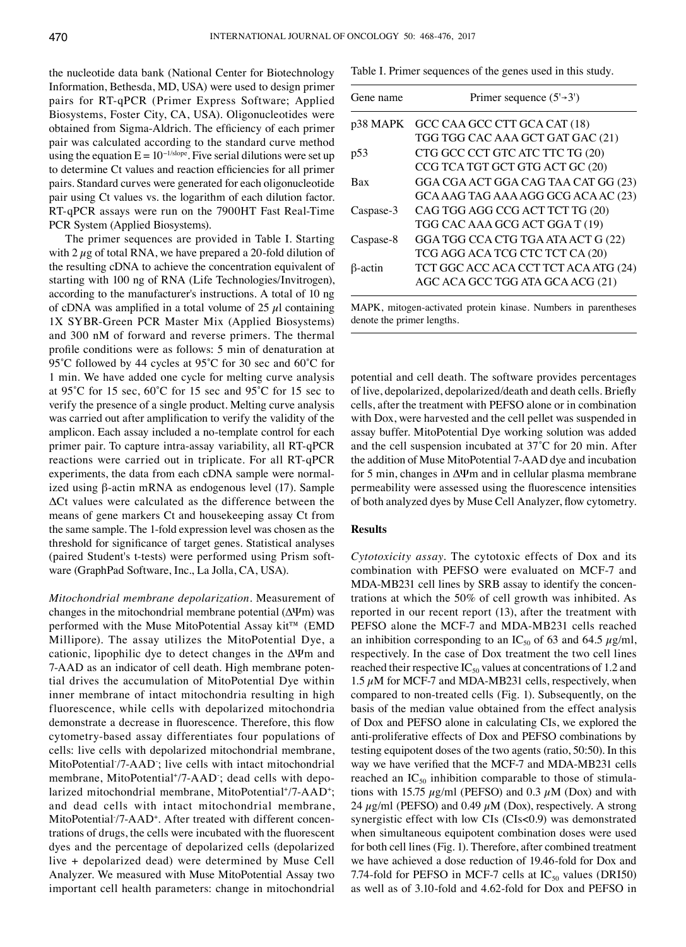the nucleotide data bank (National Center for Biotechnology Information, Bethesda, MD, USA) were used to design primer pairs for RT‑qPCR (Primer Express Software; Applied Biosystems, Foster City, CA, USA). Oligonucleotides were obtained from Sigma‑Aldrich. The efficiency of each primer pair was calculated according to the standard curve method using the equation  $E = 10^{-1/\text{slope}}$ . Five serial dilutions were set up to determine Ct values and reaction efficiencies for all primer pairs. Standard curves were generated for each oligonucleotide pair using Ct values vs. the logarithm of each dilution factor. RT-qPCR assays were run on the 7900HT Fast Real-Time PCR System (Applied Biosystems).

The primer sequences are provided in Table I. Starting with  $2 \mu$ g of total RNA, we have prepared a 20-fold dilution of the resulting cDNA to achieve the concentration equivalent of starting with 100 ng of RNA (Life Technologies/Invitrogen), according to the manufacturer's instructions. A total of 10 ng of cDNA was amplified in a total volume of  $25 \mu l$  containing 1X SYBR‑Green PCR Master Mix (Applied Biosystems) and 300 nM of forward and reverse primers. The thermal profile conditions were as follows: 5 min of denaturation at 95˚C followed by 44 cycles at 95˚C for 30 sec and 60˚C for 1 min. We have added one cycle for melting curve analysis at 95˚C for 15 sec, 60˚C for 15 sec and 95˚C for 15 sec to verify the presence of a single product. Melting curve analysis was carried out after amplification to verify the validity of the amplicon. Each assay included a no-template control for each primer pair. To capture intra‑assay variability, all RT‑qPCR reactions were carried out in triplicate. For all RT‑qPCR experiments, the data from each cDNA sample were normalized using β‑actin mRNA as endogenous level (17). Sample ΔCt values were calculated as the difference between the means of gene markers Ct and housekeeping assay Ct from the same sample. The 1-fold expression level was chosen as the threshold for significance of target genes. Statistical analyses (paired Student's t‑tests) were performed using Prism software (GraphPad Software, Inc., La Jolla, CA, USA).

*Mitochondrial membrane depolarization.* Measurement of changes in the mitochondrial membrane potential  $(\Delta \Psi m)$  was performed with the Muse MitoPotential Assay kit™ (EMD Millipore). The assay utilizes the MitoPotential Dye, a cationic, lipophilic dye to detect changes in the ΔΨm and 7-AAD as an indicator of cell death. High membrane potential drives the accumulation of MitoPotential Dye within inner membrane of intact mitochondria resulting in high fluorescence, while cells with depolarized mitochondria demonstrate a decrease in fluorescence. Therefore, this flow cytometry-based assay differentiates four populations of cells: live cells with depolarized mitochondrial membrane, MitoPotential/7-AAD; live cells with intact mitochondrial membrane, MitoPotential<sup>+</sup>/7-AAD; dead cells with depolarized mitochondrial membrane, MitoPotential+/7-AAD+; and dead cells with intact mitochondrial membrane, MitoPotential /7-AAD<sup>+</sup>. After treated with different concentrations of drugs, the cells were incubated with the fluorescent dyes and the percentage of depolarized cells (depolarized live + depolarized dead) were determined by Muse Cell Analyzer. We measured with Muse MitoPotential Assay two important cell health parameters: change in mitochondrial

Table I. Primer sequences of the genes used in this study.

| Gene name       | Primer sequence $(5\rightarrow 3')$  |
|-----------------|--------------------------------------|
| p38 MAPK        | GCC CAA GCC CTT GCA CAT (18)         |
|                 | TGG TGG CAC AAA GCT GAT GAC (21)     |
| p <sub>53</sub> | CTG GCC CCT GTC ATC TTC TG (20)      |
|                 | CCG TCA TGT GCT GTG ACT GC (20)      |
| Bax             | GGA CGA ACT GGA CAG TAA CAT GG (23)  |
|                 | GCA AAG TAG AAA AGG GCG ACA AC (23)  |
| Caspase-3       | CAG TGG AGG CCG ACT TCT TG (20)      |
|                 | TGG CAC AAA GCG ACT GGA T (19)       |
| Caspase-8       | GGA TGG CCA CTG TGA ATA ACT G (22)   |
|                 | TCG AGG ACA TCG CTC TCT CA (20)      |
| $\beta$ -actin  | TCT GGC ACC ACA CCT TCT ACA ATG (24) |
|                 | AGC ACA GCC TGG ATA GCA ACG (21)     |
|                 |                                      |

MAPK, mitogen‑activated protein kinase. Numbers in parentheses denote the primer lengths.

potential and cell death. The software provides percentages of live, depolarized, depolarized/death and death cells. Briefly cells, after the treatment with PEFSO alone or in combination with Dox, were harvested and the cell pellet was suspended in assay buffer. MitoPotential Dye working solution was added and the cell suspension incubated at 37˚C for 20 min. After the addition of Muse MitoPotential 7‑AAD dye and incubation for 5 min, changes in ΔΨm and in cellular plasma membrane permeability were assessed using the fluorescence intensities of both analyzed dyes by Muse Cell Analyzer, flow cytometry.

### **Results**

*Cytotoxicity assay.* The cytotoxic effects of Dox and its combination with PEFSO were evaluated on MCF‑7 and MDA‑MB231 cell lines by SRB assay to identify the concentrations at which the 50% of cell growth was inhibited. As reported in our recent report (13), after the treatment with PEFSO alone the MCF-7 and MDA-MB231 cells reached an inhibition corresponding to an IC<sub>50</sub> of 63 and 64.5  $\mu$ g/ml, respectively. In the case of Dox treatment the two cell lines reached their respective  $IC_{50}$  values at concentrations of 1.2 and 1.5  $\mu$ M for MCF-7 and MDA-MB231 cells, respectively, when compared to non-treated cells (Fig. 1). Subsequently, on the basis of the median value obtained from the effect analysis of Dox and PEFSO alone in calculating CIs, we explored the anti‑proliferative effects of Dox and PEFSO combinations by testing equipotent doses of the two agents (ratio, 50:50). In this way we have verified that the MCF‑7 and MDA‑MB231 cells reached an  $IC_{50}$  inhibition comparable to those of stimulations with 15.75  $\mu$ g/ml (PEFSO) and 0.3  $\mu$ M (Dox) and with 24  $\mu$ g/ml (PEFSO) and 0.49  $\mu$ M (Dox), respectively. A strong synergistic effect with low CIs (CIs<0.9) was demonstrated when simultaneous equipotent combination doses were used for both cell lines (Fig. 1). Therefore, after combined treatment we have achieved a dose reduction of 19.46-fold for Dox and 7.74-fold for PEFSO in MCF-7 cells at  $IC_{50}$  values (DRI50) as well as of 3.10‑fold and 4.62‑fold for Dox and PEFSO in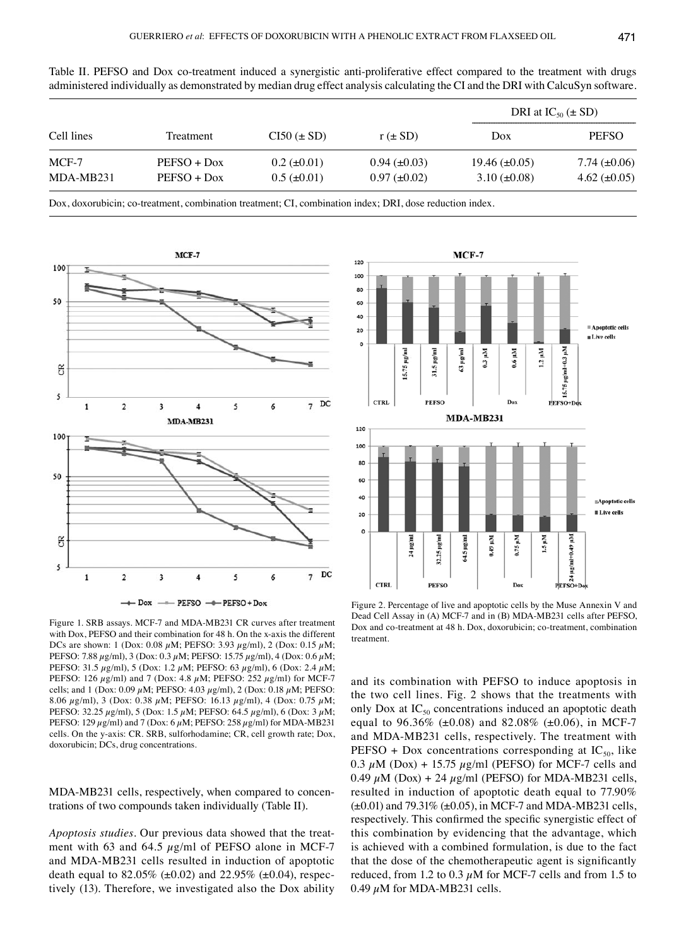| Table II. PEFSO and Dox co-treatment induced a synergistic anti-proliferative effect compared to the treatment with drugs       |  |  |  |  |  |  |
|---------------------------------------------------------------------------------------------------------------------------------|--|--|--|--|--|--|
| administered individually as demonstrated by median drug effect analysis calculating the CI and the DRI with CalcuSyn software. |  |  |  |  |  |  |

|                      |                                |                                        |                                          | DRI at $IC_{50} (\pm SD)$                   |                                        |  |
|----------------------|--------------------------------|----------------------------------------|------------------------------------------|---------------------------------------------|----------------------------------------|--|
| Cell lines           | Treatment                      | $CI50 \left( \pm SD \right)$           | $r \left( \pm SD \right)$                | Dox                                         | <b>PEFSO</b>                           |  |
| $MCF-7$<br>MDA-MB231 | $PEFSO + DoX$<br>$PEFSO + DoX$ | $0.2 \ (\pm 0.01)$<br>$0.5 (\pm 0.01)$ | $0.94 \ (\pm 0.03)$<br>$0.97 (\pm 0.02)$ | $19.46 \ (\pm 0.05)$<br>$3.10 \ (\pm 0.08)$ | 7.74 $(\pm 0.06)$<br>4.62 $(\pm 0.05)$ |  |

Dox, doxorubicin; co-treatment, combination treatment; CI, combination index; DRI, dose reduction index.



Figure 1. SRB assays. MCF‑7 and MDA‑MB231 CR curves after treatment with Dox, PEFSO and their combination for 48 h. On the x-axis the different DCs are shown: 1 (Dox: 0.08  $\mu$ M; PEFSO: 3.93  $\mu$ g/ml), 2 (Dox: 0.15  $\mu$ M; PEFSO: 7.88 µg/ml), 3 (Dox: 0.3 µM; PEFSO: 15.75 µg/ml), 4 (Dox: 0.6 µM; PEFSO: 31.5 µg/ml), 5 (Dox: 1.2 µM; PEFSO: 63 µg/ml), 6 (Dox: 2.4 µM; PEFSO: 126  $\mu$ g/ml) and 7 (Dox: 4.8  $\mu$ M; PEFSO: 252  $\mu$ g/ml) for MCF-7 cells; and 1 (Dox: 0.09  $\mu$ M; PEFSO: 4.03  $\mu$ g/ml), 2 (Dox: 0.18  $\mu$ M; PEFSO: 8.06 µg/ml), 3 (Dox: 0.38 µM; PEFSO: 16.13 µg/ml), 4 (Dox: 0.75 µM; PEFSO: 32.25 µg/ml), 5 (Dox: 1.5 µM; PEFSO: 64.5 µg/ml), 6 (Dox: 3 µM; PEFSO: 129  $\mu$ g/ml) and 7 (Dox: 6  $\mu$ M; PEFSO: 258  $\mu$ g/ml) for MDA-MB231 cells. On the y‑axis: CR. SRB, sulforhodamine; CR, cell growth rate; Dox, doxorubicin; DCs, drug concentrations.

MDA‑MB231 cells, respectively, when compared to concentrations of two compounds taken individually (Table Ⅱ).

*Apoptosis studies.* Our previous data showed that the treatment with 63 and 64.5  $\mu$ g/ml of PEFSO alone in MCF-7 and MDA‑MB231 cells resulted in induction of apoptotic death equal to 82.05% ( $\pm 0.02$ ) and 22.95% ( $\pm 0.04$ ), respectively (13). Therefore, we investigated also the Dox ability



Figure 2. Percentage of live and apoptotic cells by the Muse Annexin V and Dead Cell Assay in (A) MCF-7 and in (B) MDA-MB231 cells after PEFSO, Dox and co-treatment at 48 h. Dox, doxorubicin; co-treatment, combination treatment.

and its combination with PEFSO to induce apoptosis in the two cell lines. Fig. 2 shows that the treatments with only Dox at  $IC_{50}$  concentrations induced an apoptotic death equal to 96.36% ( $\pm 0.08$ ) and 82.08% ( $\pm 0.06$ ), in MCF-7 and MDA‑MB231 cells, respectively. The treatment with PEFSO + Dox concentrations corresponding at  $IC_{50}$ , like 0.3  $\mu$ M (Dox) + 15.75  $\mu$ g/ml (PEFSO) for MCF-7 cells and 0.49  $\mu$ M (Dox) + 24  $\mu$ g/ml (PEFSO) for MDA-MB231 cells, resulted in induction of apoptotic death equal to 77.90%  $(\pm 0.01)$  and 79.31%  $(\pm 0.05)$ , in MCF-7 and MDA-MB231 cells, respectively. This confirmed the specific synergistic effect of this combination by evidencing that the advantage, which is achieved with a combined formulation, is due to the fact that the dose of the chemotherapeutic agent is significantly reduced, from 1.2 to 0.3  $\mu$ M for MCF-7 cells and from 1.5 to 0.49  $\mu$ M for MDA-MB231 cells.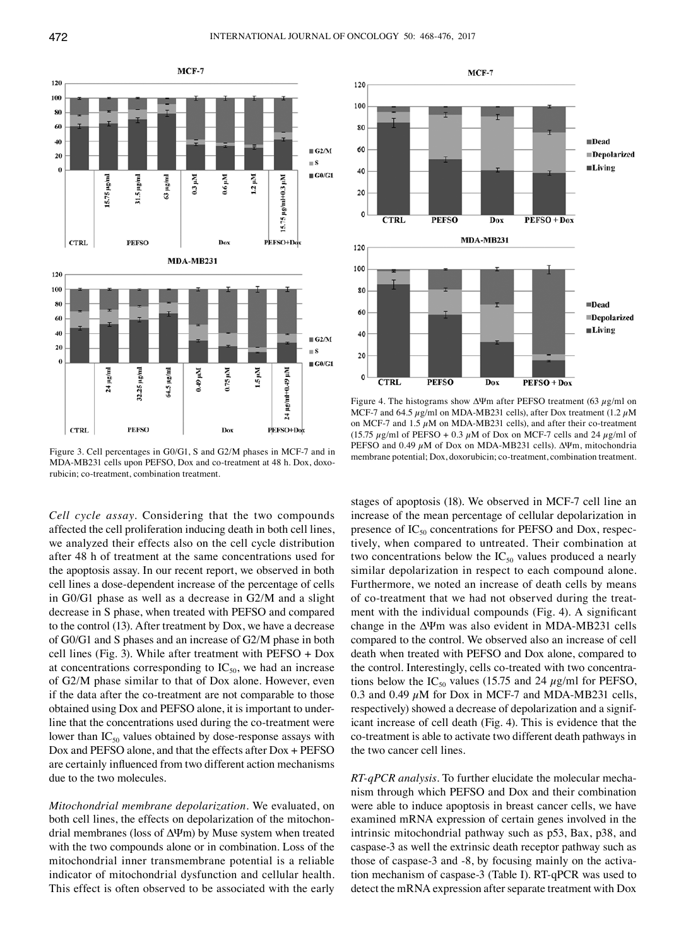

Figure 3. Cell percentages in G0/G1, S and G2/M phases in MCF‑7 and in MDA-MB231 cells upon PEFSO, Dox and co-treatment at 48 h. Dox, doxorubicin; co-treatment, combination treatment.

*Cell cycle assay.* Considering that the two compounds affected the cell proliferation inducing death in both cell lines, we analyzed their effects also on the cell cycle distribution after 48 h of treatment at the same concentrations used for the apoptosis assay. In our recent report, we observed in both cell lines a dose-dependent increase of the percentage of cells in G0/G1 phase as well as a decrease in G2/M and a slight decrease in S phase, when treated with PEFSO and compared to the control (13). After treatment by Dox, we have a decrease of G0/G1 and S phases and an increase of G2/M phase in both cell lines (Fig. 3). While after treatment with PEFSO + Dox at concentrations corresponding to  $IC_{50}$ , we had an increase of G2/M phase similar to that of Dox alone. However, even if the data after the co-treatment are not comparable to those obtained using Dox and PEFSO alone, it is important to underline that the concentrations used during the co-treatment were lower than  $IC_{50}$  values obtained by dose-response assays with Dox and PEFSO alone, and that the effects after Dox + PEFSO are certainly influenced from two different action mechanisms due to the two molecules.

*Mitochondrial membrane depolarization.* We evaluated, on both cell lines, the effects on depolarization of the mitochondrial membranes (loss of ΔΨm) by Muse system when treated with the two compounds alone or in combination. Loss of the mitochondrial inner transmembrane potential is a reliable indicator of mitochondrial dysfunction and cellular health. This effect is often observed to be associated with the early



Figure 4. The histograms show  $\Delta \Psi$ m after PEFSO treatment (63 µg/ml on MCF-7 and 64.5  $\mu$ g/ml on MDA-MB231 cells), after Dox treatment (1.2  $\mu$ M on MCF-7 and  $1.5 \mu$ M on MDA-MB231 cells), and after their co-treatment (15.75  $\mu$ g/ml of PEFSO + 0.3  $\mu$ M of Dox on MCF-7 cells and 24  $\mu$ g/ml of PEFSO and 0.49 µM of Dox on MDA‑MB231 cells). ΔΨm, mitochondria membrane potential; Dox, doxorubicin; co-treatment, combination treatment.

stages of apoptosis (18). We observed in MCF‑7 cell line an increase of the mean percentage of cellular depolarization in presence of  $IC_{50}$  concentrations for PEFSO and Dox, respectively, when compared to untreated. Their combination at two concentrations below the  $IC_{50}$  values produced a nearly similar depolarization in respect to each compound alone. Furthermore, we noted an increase of death cells by means of co-treatment that we had not observed during the treatment with the individual compounds (Fig. 4). A significant change in the ΔΨm was also evident in MDA‑MB231 cells compared to the control. We observed also an increase of cell death when treated with PEFSO and Dox alone, compared to the control. Interestingly, cells co-treated with two concentrations below the  $IC_{50}$  values (15.75 and 24  $\mu$ g/ml for PEFSO, 0.3 and 0.49  $\mu$ M for Dox in MCF-7 and MDA-MB231 cells, respectively) showed a decrease of depolarization and a significant increase of cell death (Fig. 4). This is evidence that the co-treatment is able to activate two different death pathways in the two cancer cell lines.

*RT‑qPCR analysis.* To further elucidate the molecular mechanism through which PEFSO and Dox and their combination were able to induce apoptosis in breast cancer cells, we have examined mRNA expression of certain genes involved in the intrinsic mitochondrial pathway such as p53, Bax, p38, and caspase-3 as well the extrinsic death receptor pathway such as those of caspase-3 and -8, by focusing mainly on the activation mechanism of caspase‑3 (Table I). RT‑qPCR was used to detect the mRNA expression after separate treatment with Dox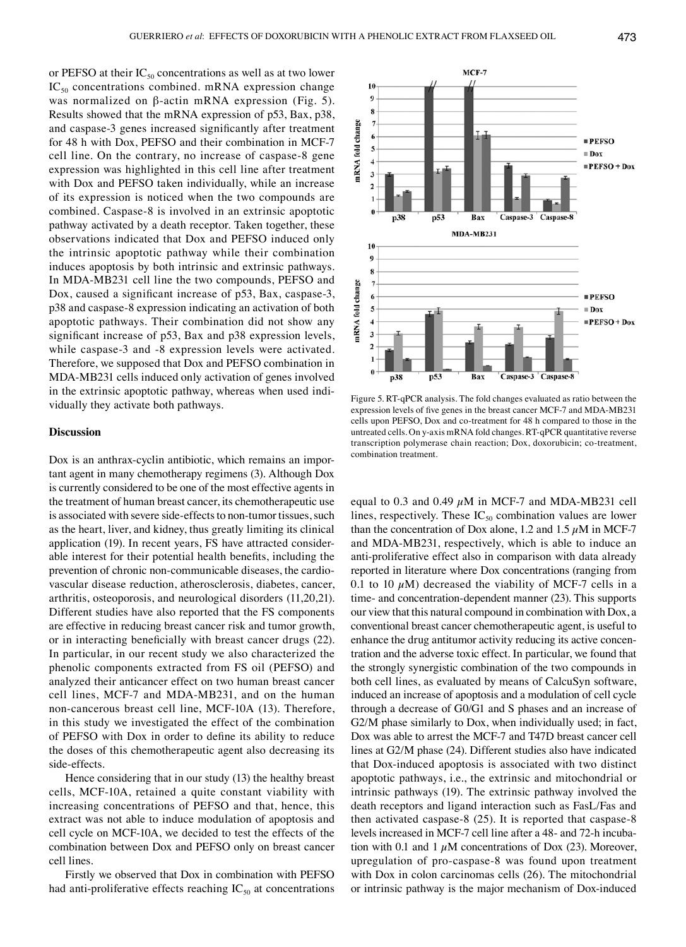or PEFSO at their  $IC_{50}$  concentrations as well as at two lower  $IC_{50}$  concentrations combined. mRNA expression change was normalized on β-actin mRNA expression (Fig. 5). Results showed that the mRNA expression of p53, Bax, p38, and caspase‑3 genes increased significantly after treatment for 48 h with Dox, PEFSO and their combination in MCF-7 cell line. On the contrary, no increase of caspase-8 gene expression was highlighted in this cell line after treatment with Dox and PEFSO taken individually, while an increase of its expression is noticed when the two compounds are combined. Caspase-8 is involved in an extrinsic apoptotic pathway activated by a death receptor. Taken together, these observations indicated that Dox and PEFSO induced only the intrinsic apoptotic pathway while their combination induces apoptosis by both intrinsic and extrinsic pathways. In MDA‑MB231 cell line the two compounds, PEFSO and Dox, caused a significant increase of p53, Bax, caspase‑3, p38 and caspase-8 expression indicating an activation of both apoptotic pathways. Their combination did not show any significant increase of p53, Bax and p38 expression levels, while caspase-3 and -8 expression levels were activated. Therefore, we supposed that Dox and PEFSO combination in MDA‑MB231 cells induced only activation of genes involved in the extrinsic apoptotic pathway, whereas when used individually they activate both pathways.

## **Discussion**

Dox is an anthrax-cyclin antibiotic, which remains an important agent in many chemotherapy regimens (3). Although Dox is currently considered to be one of the most effective agents in the treatment of human breast cancer, its chemotherapeutic use is associated with severe side-effects to non-tumor tissues, such as the heart, liver, and kidney, thus greatly limiting its clinical application (19). In recent years, FS have attracted considerable interest for their potential health benefits, including the prevention of chronic non-communicable diseases, the cardiovascular disease reduction, atherosclerosis, diabetes, cancer, arthritis, osteoporosis, and neurological disorders (11,20,21). Different studies have also reported that the FS components are effective in reducing breast cancer risk and tumor growth, or in interacting beneficially with breast cancer drugs (22). In particular, in our recent study we also characterized the phenolic components extracted from FS oil (PEFSO) and analyzed their anticancer effect on two human breast cancer cell lines, MCF‑7 and MDA‑MB231, and on the human non-cancerous breast cell line, MCF-10A (13). Therefore, in this study we investigated the effect of the combination of PEFSO with Dox in order to define its ability to reduce the doses of this chemotherapeutic agent also decreasing its side-effects.

Hence considering that in our study (13) the healthy breast cells, MCF‑10A, retained a quite constant viability with increasing concentrations of PEFSO and that, hence, this extract was not able to induce modulation of apoptosis and cell cycle on MCF‑10A, we decided to test the effects of the combination between Dox and PEFSO only on breast cancer cell lines.

Firstly we observed that Dox in combination with PEFSO had anti-proliferative effects reaching  $IC_{50}$  at concentrations



Figure 5. RT‑qPCR analysis. The fold changes evaluated as ratio between the expression levels of five genes in the breast cancer MCF‑7 and MDA‑MB231 cells upon PEFSO, Dox and co‑treatment for 48 h compared to those in the untreated cells. On y‑axis mRNA fold changes. RT‑qPCR quantitative reverse transcription polymerase chain reaction; Dox, doxorubicin; co‑treatment, combination treatment.

equal to 0.3 and 0.49  $\mu$ M in MCF-7 and MDA-MB231 cell lines, respectively. These  $IC_{50}$  combination values are lower than the concentration of Dox alone, 1.2 and 1.5  $\mu$ M in MCF-7 and MDA‑MB231, respectively, which is able to induce an anti-proliferative effect also in comparison with data already reported in literature where Dox concentrations (ranging from 0.1 to 10  $\mu$ M) decreased the viability of MCF-7 cells in a time- and concentration-dependent manner (23). This supports our view that this natural compound in combination with Dox, a conventional breast cancer chemotherapeutic agent, is useful to enhance the drug antitumor activity reducing its active concentration and the adverse toxic effect. In particular, we found that the strongly synergistic combination of the two compounds in both cell lines, as evaluated by means of CalcuSyn software, induced an increase of apoptosis and a modulation of cell cycle through a decrease of G0/G1 and S phases and an increase of G2/M phase similarly to Dox, when individually used; in fact, Dox was able to arrest the MCF‑7 and T47D breast cancer cell lines at G2/M phase (24). Different studies also have indicated that Dox-induced apoptosis is associated with two distinct apoptotic pathways, i.e., the extrinsic and mitochondrial or intrinsic pathways (19). The extrinsic pathway involved the death receptors and ligand interaction such as FasL/Fas and then activated caspase-8 (25). It is reported that caspase-8 levels increased in MCF‑7 cell line after a 48‑ and 72‑h incubation with 0.1 and 1  $\mu$ M concentrations of Dox (23). Moreover, upregulation of pro-caspase-8 was found upon treatment with Dox in colon carcinomas cells (26). The mitochondrial or intrinsic pathway is the major mechanism of Dox-induced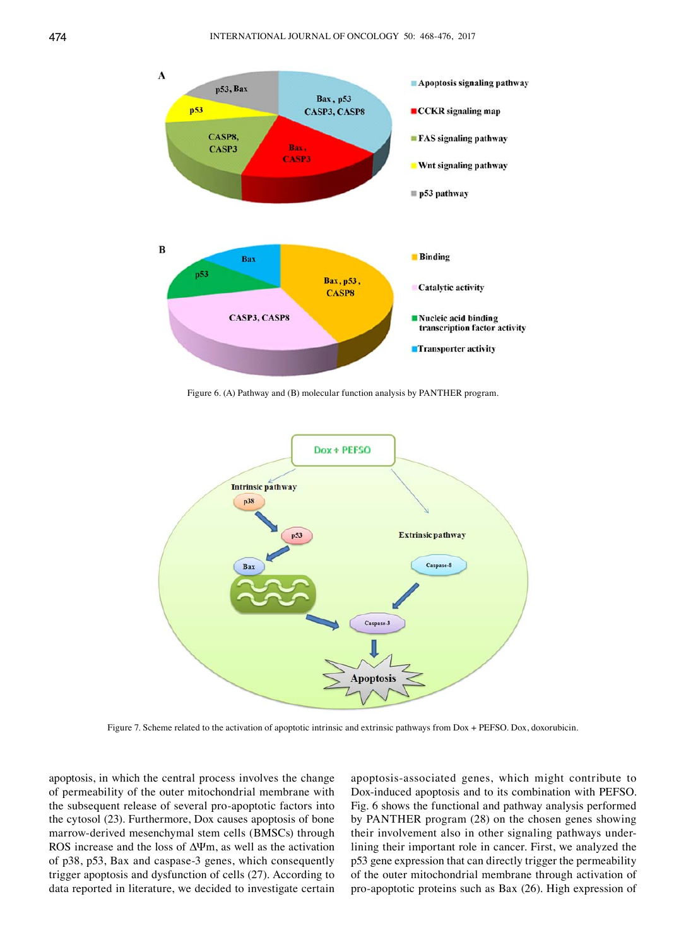

Figure 6. (A) Pathway and (B) molecular function analysis by PANTHER program.



Figure 7. Scheme related to the activation of apoptotic intrinsic and extrinsic pathways from Dox + PEFSO. Dox, doxorubicin.

apoptosis, in which the central process involves the change of permeability of the outer mitochondrial membrane with the subsequent release of several pro-apoptotic factors into the cytosol (23). Furthermore, Dox causes apoptosis of bone marrow‑derived mesenchymal stem cells (BMSCs) through ROS increase and the loss of ΔΨm, as well as the activation of p38, p53, Bax and caspase-3 genes, which consequently trigger apoptosis and dysfunction of cells (27). According to data reported in literature, we decided to investigate certain

apoptosis-associated genes, which might contribute to Dox-induced apoptosis and to its combination with PEFSO. Fig. 6 shows the functional and pathway analysis performed by PANTHER program (28) on the chosen genes showing their involvement also in other signaling pathways underlining their important role in cancer. First, we analyzed the p53 gene expression that can directly trigger the permeability of the outer mitochondrial membrane through activation of pro-apoptotic proteins such as Bax (26). High expression of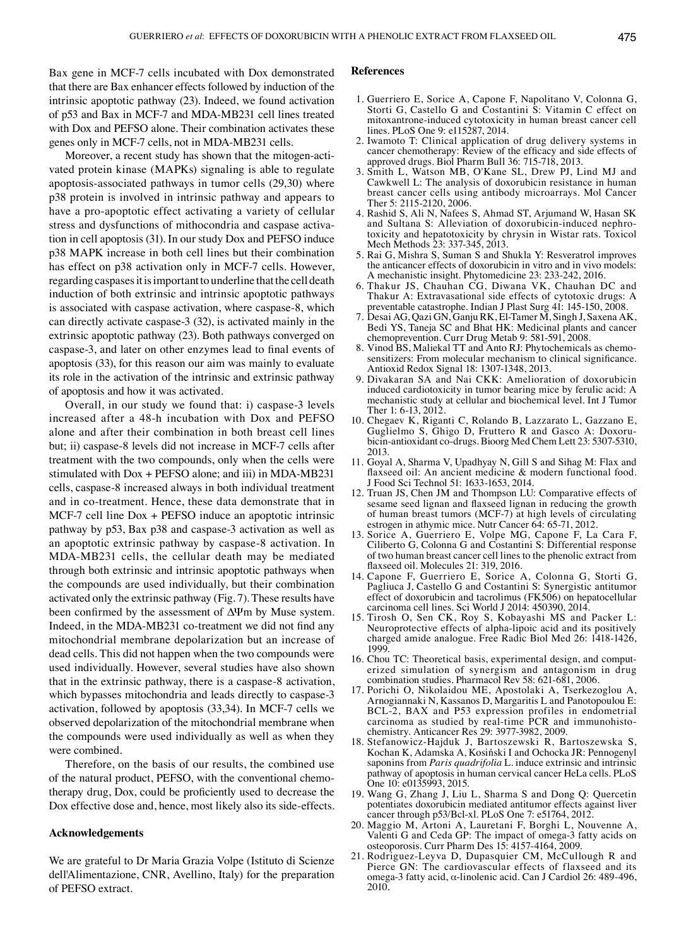Bax gene in MCF‑7 cells incubated with Dox demonstrated that there are Bax enhancer effects followed by induction of the intrinsic apoptotic pathway (23). Indeed, we found activation of p53 and Bax in MCF‑7 and MDA‑MB231 cell lines treated with Dox and PEFSO alone. Their combination activates these genes only in MCF‑7 cells, not in MDA‑MB231 cells.

Moreover, a recent study has shown that the mitogen-activated protein kinase (MAPKs) signaling is able to regulate apoptosis-associated pathways in tumor cells (29,30) where p38 protein is involved in intrinsic pathway and appears to have a pro-apoptotic effect activating a variety of cellular stress and dysfunctions of mithocondria and caspase activation in cell apoptosis (31). In our study Dox and PEFSO induce p38 MAPK increase in both cell lines but their combination has effect on p38 activation only in MCF-7 cells. However, regarding caspases it is important to underline that the cell death induction of both extrinsic and intrinsic apoptotic pathways is associated with caspase activation, where caspase-8, which can directly activate caspase-3 (32), is activated mainly in the extrinsic apoptotic pathway (23). Both pathways converged on caspase‑3, and later on other enzymes lead to final events of apoptosis (33), for this reason our aim was mainly to evaluate its role in the activation of the intrinsic and extrinsic pathway of apoptosis and how it was activated.

Overall, in our study we found that: i) caspase-3 levels increased after a 48‑h incubation with Dox and PEFSO alone and after their combination in both breast cell lines but; ⅱ) caspase‑8 levels did not increase in MCF‑7 cells after treatment with the two compounds, only when the cells were stimulated with  $Dox + PEFSO$  alone; and iii) in MDA-MB231 cells, caspase-8 increased always in both individual treatment and in co-treatment. Hence, these data demonstrate that in MCF-7 cell line Dox + PEFSO induce an apoptotic intrinsic pathway by p53, Bax p38 and caspase-3 activation as well as an apoptotic extrinsic pathway by caspase-8 activation. In MDA‑MB231 cells, the cellular death may be mediated through both extrinsic and intrinsic apoptotic pathways when the compounds are used individually, but their combination activated only the extrinsic pathway (Fig. 7). These results have been confirmed by the assessment of ΔΨm by Muse system. Indeed, in the MDA‑MB231 co‑treatment we did not find any mitochondrial membrane depolarization but an increase of dead cells. This did not happen when the two compounds were used individually. However, several studies have also shown that in the extrinsic pathway, there is a caspase-8 activation, which bypasses mitochondria and leads directly to caspase-3 activation, followed by apoptosis (33,34). In MCF‑7 cells we observed depolarization of the mitochondrial membrane when the compounds were used individually as well as when they were combined.

Therefore, on the basis of our results, the combined use of the natural product, PEFSO, with the conventional chemotherapy drug, Dox, could be proficiently used to decrease the Dox effective dose and, hence, most likely also its side-effects.

## **Acknowledgements**

We are grateful to Dr Maria Grazia Volpe (Istituto di Scienze dell'Alimentazione, CNR, Avellino, Italy) for the preparation of PEFSO extract.

#### **References**

- 1. Guerriero E, Sorice A, Capone F, Napolitano V, Colonna G, Storti G, Castello G and Costantini S: Vitamin C effect on mitoxantrone-induced cytotoxicity in human breast cancer cell lines. PLoS One 9: e115287, 2014.
- 2. Iwamoto T: Clinical application of drug delivery systems in cancer chemotherapy: Review of the efficacy and side effects of approved drugs. Biol Pharm Bull 36: 715‑718, 2013.
- 3. Smith L, Watson MB, O'Kane SL, Drew PJ, Lind MJ and Cawkwell L: The analysis of doxorubicin resistance in human breast cancer cells using antibody microarrays. Mol Cancer Ther 5: 2115-2120, 2006.
- 4. Rashid S, Ali N, Nafees S, Ahmad ST, Arjumand W, Hasan SK and Sultana S: Alleviation of doxorubicin-induced nephrotoxicity and hepatotoxicity by chrysin in Wistar rats. Toxicol Mech Methods 23: 337‑345, 2013.
- 5. Rai G, Mishra S, Suman S and Shukla Y: Resveratrol improves the anticancer effects of doxorubicin in vitro and in vivo models: A mechanistic insight. Phytomedicine 23: 233‑242, 2016.
- 6. Thakur JS, Chauhan CG, Diwana VK, Chauhan DC and Thakur A: Extravasational side effects of cytotoxic drugs: A preventable catastrophe. Indian J Plast Surg 41: 145‑150, 2008.
- 7. Desai AG, Qazi GN, Ganju RK, El‑Tamer M, Singh J, Saxena AK, Bedi YS, Taneja SC and Bhat HK: Medicinal plants and cancer chemoprevention. Curr Drug Metab 9: 581-591, 2008.
- 8. Vinod BS, Maliekal TT and Anto RJ: Phytochemicals as chemosensitizers: From molecular mechanism to clinical significance. Antioxid Redox Signal 18: 1307‑1348, 2013.
- 9. Divakaran SA and Nai CKK: Amelioration of doxorubicin induced cardiotoxicity in tumor bearing mice by ferulic acid: A mechanistic study at cellular and biochemical level. Int J Tumor Ther 1: 6-13, 2012.
- 10. Chegaev K, Riganti C, Rolando B, Lazzarato L, Gazzano E, Guglielmo S, Ghigo D, Fruttero R and Gasco A: Doxorubicin‑antioxidant co‑drugs. Bioorg Med Chem Lett 23: 5307‑5310, 2013.
- 11. Goyal A, Sharma V, Upadhyay N, Gill S and Sihag M: Flax and flaxseed oil: An ancient medicine & modern functional food. J Food Sci Technol 51: 1633‑1653, 2014.
- 12. Truan JS, Chen JM and Thompson LU: Comparative effects of sesame seed lignan and flaxseed lignan in reducing the growth of human breast tumors (MCF‑7) at high levels of circulating estrogen in athymic mice. Nutr Cancer 64: 65-71, 2012.
- 13. Sorice A, Guerriero E, Volpe MG, Capone F, La Cara F, Ciliberto G, Colonna G and Costantini S: Differential response of two human breast cancer cell lines to the phenolic extract from flaxseed oil. Molecules 21: 319, 2016.
- 14. Capone F, Guerriero E, Sorice A, Colonna G, Storti G, Pagliuca J, Castello G and Costantini S: Synergistic antitumor effect of doxorubicin and tacrolimus (FK506) on hepatocellular carcinoma cell lines. Sci World J 2014: 450390, 2014.
- 15. Tirosh O, Sen CK, Roy S, Kobayashi MS and Packer L: Neuroprotective effects of alpha-lipoic acid and its positively charged amide analogue. Free Radic Biol Med 26: 1418‑1426, 1999.
- 16. Chou TC: Theoretical basis, experimental design, and computerized simulation of synergism and antagonism in drug combination studies. Pharmacol Rev 58: 621‑681, 2006.
- 17. Porichi O, Nikolaidou ME, Apostolaki A, Tserkezoglou A, Arnogiannaki N, Kassanos D, Margaritis L and Panotopoulou E: BCL‑2, BAX and P53 expression profiles in endometrial carcinoma as studied by real‑time PCR and immunohistochemistry. Anticancer Res 29: 3977-3982, 2009.
- 18. Stefanowicz‑Hajduk J, Bartoszewski R, Bartoszewska S, Kochan K, Adamska A, Kosiński I and Ochocka JR: Pennogenyl saponins from *Paris quadrifolia* L. induce extrinsic and intrinsic pathway of apoptosis in human cervical cancer HeLa cells. PLoS One 10: e0135993, 2015.
- 19. Wang G, Zhang J, Liu L, Sharma S and Dong Q: Quercetin potentiates doxorubicin mediated antitumor effects against liver cancer through p53/Bcl‑xl. PLoS One 7: e51764, 2012.
- 20. Maggio M, Artoni A, Lauretani F, Borghi L, Nouvenne A, Valenti G and Ceda GP: The impact of omega‑3 fatty acids on osteoporosis. Curr Pharm Des 15: 4157‑4164, 2009.
- 21. Rodriguez‑Leyva D, Dupasquier CM, McCullough R and Pierce GN: The cardiovascular effects of flaxseed and its omega-3 fatty acid, α-linolenic acid. Can J Cardiol 26: 489-496, 2010.